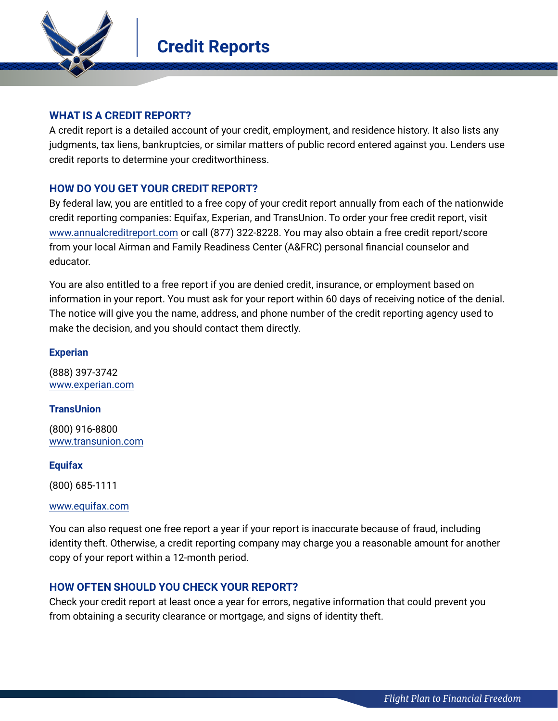

# **WHAT IS A CREDIT REPORT?**

A credit report is a detailed account of your credit, employment, and residence history. It also lists any judgments, tax liens, bankruptcies, or similar matters of public record entered against you. Lenders use credit reports to determine your creditworthiness.

# **HOW DO YOU GET YOUR CREDIT REPORT?**

By federal law, you are entitled to a free copy of your credit report annually from each of the nationwide credit reporting companies: Equifax, Experian, and TransUnion. To order your free credit report, visit [www.annualcreditreport.com](http://www.annualcreditreport.com) or call (877) 322-8228. You may also obtain a free credit report/score from your local Airman and Family Readiness Center (A&FRC) personal financial counselor and educator.

You are also entitled to a free report if you are denied credit, insurance, or employment based on information in your report. You must ask for your report within 60 days of receiving notice of the denial. The notice will give you the name, address, and phone number of the credit reporting agency used to make the decision, and you should contact them directly.

## **Experian**

(888) 397-3742 [www.experian.com](http://www.experian.com)

## **TransUnion**

(800) 916-8800 [www.transunion.com](http://www.transunion.com)

## **Equifax**

(800) 685-1111

#### [www.equifax.com](http://www.equifax.com)

You can also request one free report a year if your report is inaccurate because of fraud, including identity theft. Otherwise, a credit reporting company may charge you a reasonable amount for another copy of your report within a 12-month period.

# **HOW OFTEN SHOULD YOU CHECK YOUR REPORT?**

Check your credit report at least once a year for errors, negative information that could prevent you from obtaining a security clearance or mortgage, and signs of identity theft.